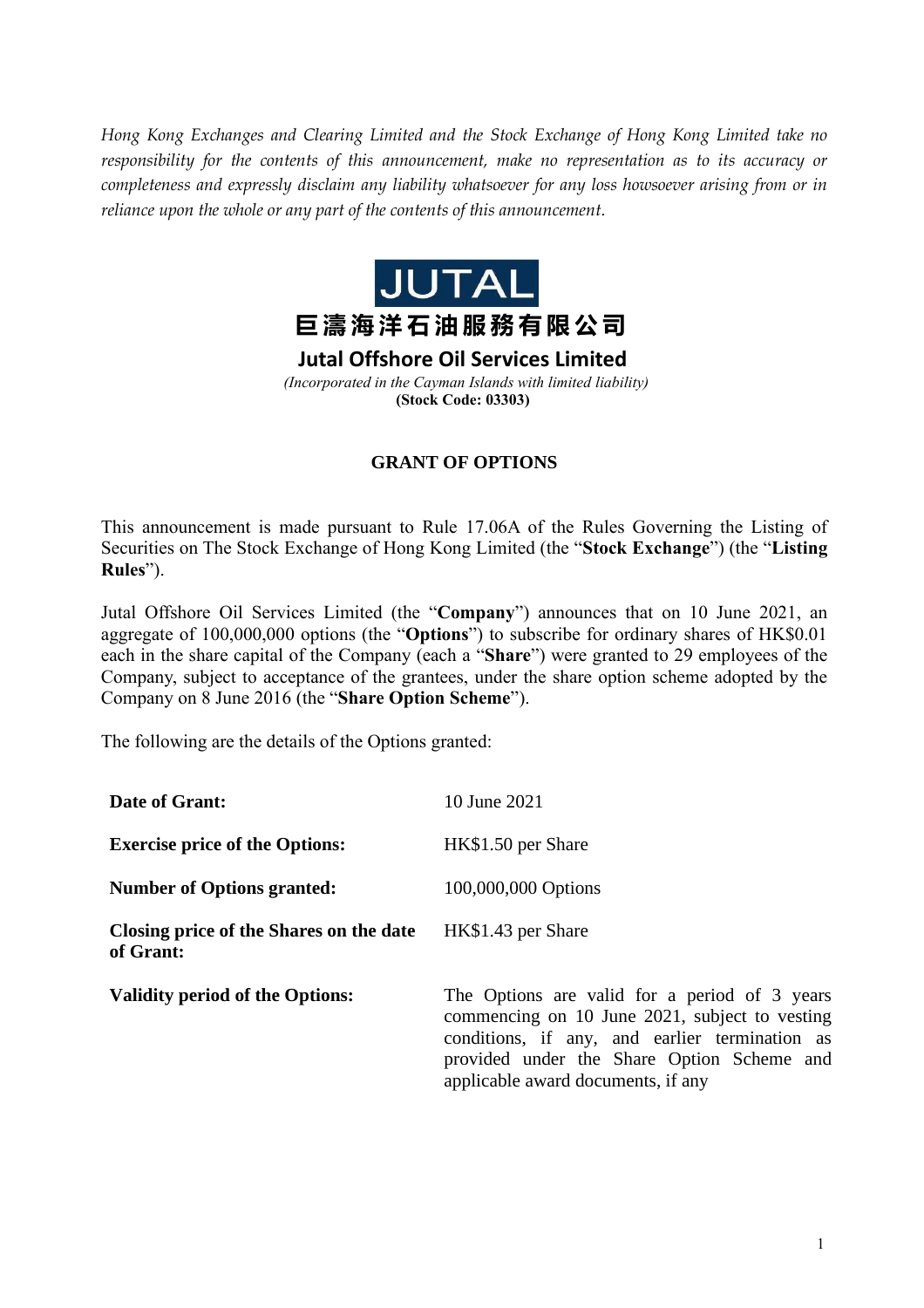*Hong Kong Exchanges and Clearing Limited and the Stock Exchange of Hong Kong Limited take no responsibility for the contents of this announcement, make no representation as to its accuracy or completeness and expressly disclaim any liability whatsoever for any loss howsoever arising from or in reliance upon the whole or any part of the contents of this announcement.*



## **GRANT OF OPTIONS**

This announcement is made pursuant to Rule 17.06A of the Rules Governing the Listing of Securities on The Stock Exchange of Hong Kong Limited (the "**Stock Exchange**") (the "**Listing Rules**").

Jutal Offshore Oil Services Limited (the "**Company**") announces that on 10 June 2021, an aggregate of 100,000,000 options (the "**Options**") to subscribe for ordinary shares of HK\$0.01 each in the share capital of the Company (each a "**Share**") were granted to 29 employees of the Company, subject to acceptance of the grantees, under the share option scheme adopted by the Company on 8 June 2016 (the "**Share Option Scheme**").

The following are the details of the Options granted:

| Date of Grant:                                       | 10 June 2021                                                                                                                                                                                                                          |
|------------------------------------------------------|---------------------------------------------------------------------------------------------------------------------------------------------------------------------------------------------------------------------------------------|
| <b>Exercise price of the Options:</b>                | HK\$1.50 per Share                                                                                                                                                                                                                    |
| <b>Number of Options granted:</b>                    | 100,000,000 Options                                                                                                                                                                                                                   |
| Closing price of the Shares on the date<br>of Grant: | HK\$1.43 per Share                                                                                                                                                                                                                    |
| <b>Validity period of the Options:</b>               | The Options are valid for a period of 3 years<br>commencing on 10 June 2021, subject to vesting<br>conditions, if any, and earlier termination as<br>provided under the Share Option Scheme and<br>applicable award documents, if any |